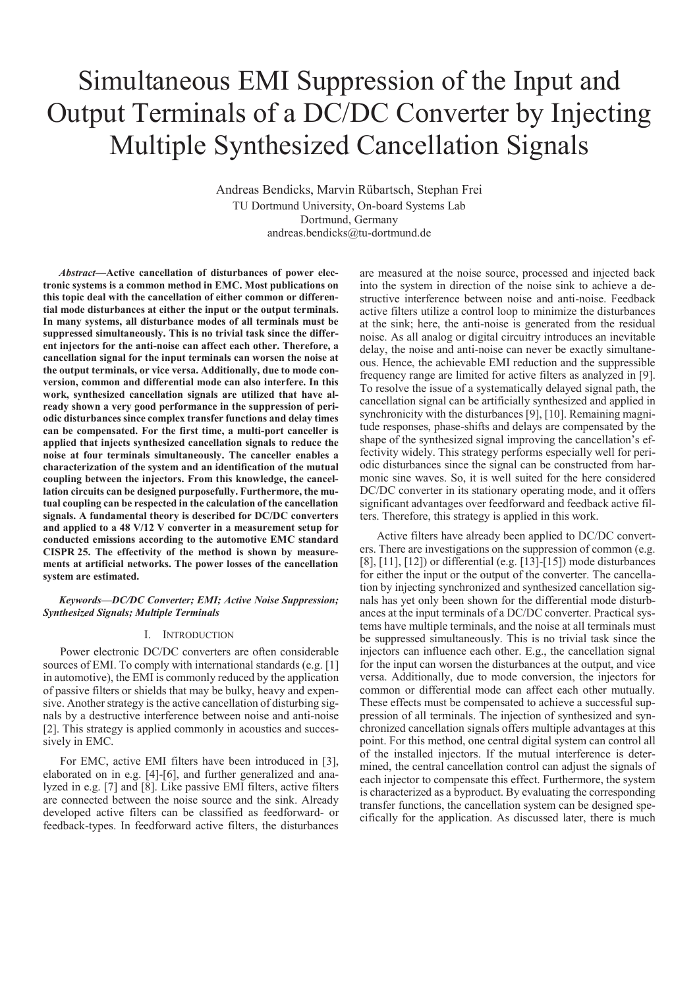# Simultaneous EMI Suppression of the Input and Output Terminals of a DC/DC Converter by Injecting Multiple Synthesized Cancellation Signals

Andreas Bendicks, Marvin Rübartsch, Stephan Frei TU Dortmund University, On-board Systems Lab Dortmund, Germany andreas.bendicks@tu-dortmund.de

*Abstract***—Active cancellation of disturbances of power electronic systems is a common method in EMC. Most publications on this topic deal with the cancellation of either common or differential mode disturbances at either the input or the output terminals. In many systems, all disturbance modes of all terminals must be suppressed simultaneously. This is no trivial task since the different injectors for the anti-noise can affect each other. Therefore, a cancellation signal for the input terminals can worsen the noise at the output terminals, or vice versa. Additionally, due to mode conversion, common and differential mode can also interfere. In this work, synthesized cancellation signals are utilized that have already shown a very good performance in the suppression of periodic disturbances since complex transfer functions and delay times can be compensated. For the first time, a multi-port canceller is applied that injects synthesized cancellation signals to reduce the noise at four terminals simultaneously. The canceller enables a characterization of the system and an identification of the mutual coupling between the injectors. From this knowledge, the cancellation circuits can be designed purposefully. Furthermore, the mutual coupling can be respected in the calculation of the cancellation signals. A fundamental theory is described for DC/DC converters and applied to a 48 V/12 V converter in a measurement setup for conducted emissions according to the automotive EMC standard CISPR 25. The effectivity of the method is shown by measurements at artificial networks. The power losses of the cancellation system are estimated.** 

*Keywords—DC/DC Converter; EMI; Active Noise Suppression; Synthesized Signals; Multiple Terminals* 

## I. INTRODUCTION

Power electronic DC/DC converters are often considerable sources of EMI. To comply with international standards (e.g. [1] in automotive), the EMI is commonly reduced by the application of passive filters or shields that may be bulky, heavy and expensive. Another strategy is the active cancellation of disturbing signals by a destructive interference between noise and anti-noise [2]. This strategy is applied commonly in acoustics and successively in EMC.

For EMC, active EMI filters have been introduced in [3], elaborated on in e.g. [4]-[6], and further generalized and analyzed in e.g. [7] and [8]. Like passive EMI filters, active filters are connected between the noise source and the sink. Already developed active filters can be classified as feedforward- or feedback-types. In feedforward active filters, the disturbances

are measured at the noise source, processed and injected back into the system in direction of the noise sink to achieve a destructive interference between noise and anti-noise. Feedback active filters utilize a control loop to minimize the disturbances at the sink; here, the anti-noise is generated from the residual noise. As all analog or digital circuitry introduces an inevitable delay, the noise and anti-noise can never be exactly simultaneous. Hence, the achievable EMI reduction and the suppressible frequency range are limited for active filters as analyzed in [9]. To resolve the issue of a systematically delayed signal path, the cancellation signal can be artificially synthesized and applied in synchronicity with the disturbances [9], [10]. Remaining magnitude responses, phase-shifts and delays are compensated by the shape of the synthesized signal improving the cancellation's effectivity widely. This strategy performs especially well for periodic disturbances since the signal can be constructed from harmonic sine waves. So, it is well suited for the here considered DC/DC converter in its stationary operating mode, and it offers significant advantages over feedforward and feedback active filters. Therefore, this strategy is applied in this work.

Active filters have already been applied to DC/DC converters. There are investigations on the suppression of common (e.g. [8], [11], [12]) or differential (e.g. [13]-[15]) mode disturbances for either the input or the output of the converter. The cancellation by injecting synchronized and synthesized cancellation signals has yet only been shown for the differential mode disturbances at the input terminals of a DC/DC converter. Practical systems have multiple terminals, and the noise at all terminals must be suppressed simultaneously. This is no trivial task since the injectors can influence each other. E.g., the cancellation signal for the input can worsen the disturbances at the output, and vice versa. Additionally, due to mode conversion, the injectors for common or differential mode can affect each other mutually. These effects must be compensated to achieve a successful suppression of all terminals. The injection of synthesized and synchronized cancellation signals offers multiple advantages at this point. For this method, one central digital system can control all of the installed injectors. If the mutual interference is determined, the central cancellation control can adjust the signals of each injector to compensate this effect. Furthermore, the system is characterized as a byproduct. By evaluating the corresponding transfer functions, the cancellation system can be designed specifically for the application. As discussed later, there is much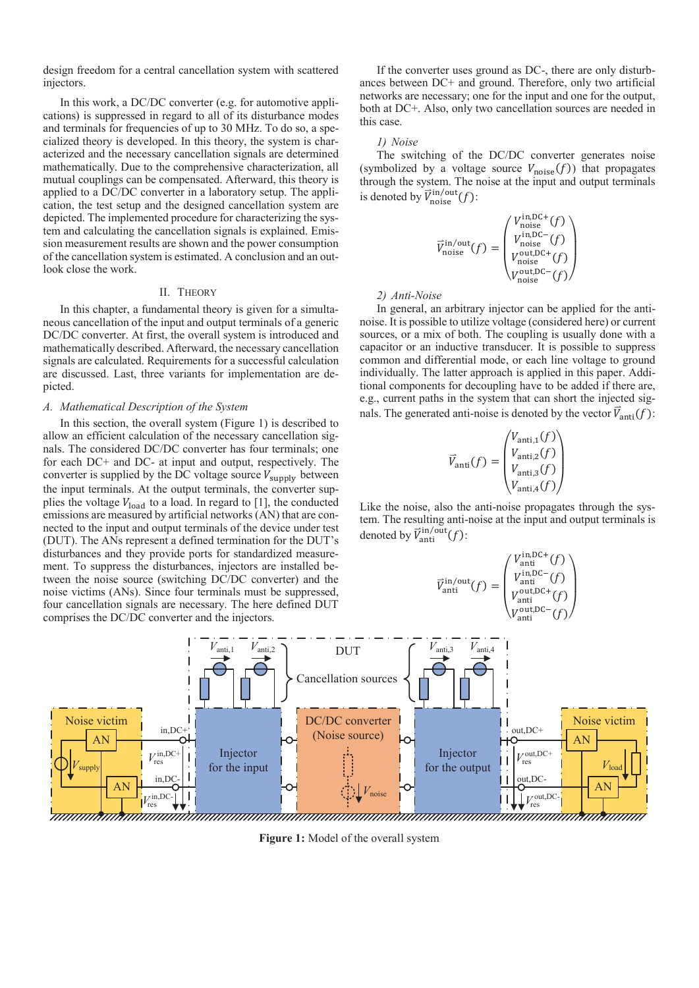design freedom for a central cancellation system with scattered injectors.

In this work, a DC/DC converter (e.g. for automotive applications) is suppressed in regard to all of its disturbance modes and terminals for frequencies of up to 30 MHz. To do so, a specialized theory is developed. In this theory, the system is characterized and the necessary cancellation signals are determined mathematically. Due to the comprehensive characterization, all mutual couplings can be compensated. Afterward, this theory is applied to a DC/DC converter in a laboratory setup. The application, the test setup and the designed cancellation system are depicted. The implemented procedure for characterizing the system and calculating the cancellation signals is explained. Emission measurement results are shown and the power consumption of the cancellation system is estimated. A conclusion and an outlook close the work.

# II. THEORY

In this chapter, a fundamental theory is given for a simultaneous cancellation of the input and output terminals of a generic DC/DC converter. At first, the overall system is introduced and mathematically described. Afterward, the necessary cancellation signals are calculated. Requirements for a successful calculation are discussed. Last, three variants for implementation are depicted.

## *A. Mathematical Description of the System*

In this section, the overall system (Figure 1) is described to allow an efficient calculation of the necessary cancellation signals. The considered DC/DC converter has four terminals; one for each DC+ and DC- at input and output, respectively. The converter is supplied by the DC voltage source  $V_{\text{supply}}$  between the input terminals. At the output terminals, the converter supplies the voltage  $V_{load}$  to a load. In regard to [1], the conducted emissions are measured by artificial networks (AN) that are connected to the input and output terminals of the device under test (DUT). The ANs represent a defined termination for the DUT's disturbances and they provide ports for standardized measurement. To suppress the disturbances, injectors are installed between the noise source (switching DC/DC converter) and the noise victims (ANs). Since four terminals must be suppressed, four cancellation signals are necessary. The here defined DUT comprises the DC/DC converter and the injectors.

If the converter uses ground as DC-, there are only disturbances between DC+ and ground. Therefore, only two artificial networks are necessary; one for the input and one for the output, both at DC+. Also, only two cancellation sources are needed in this case.

#### *1) Noise*

The switching of the DC/DC converter generates noise (symbolized by a voltage source  $V_{\text{noise}}(f)$ ) that propagates through the system. The noise at the input and output terminals is denoted by  $\vec{V}_{\text{noise}}^{\text{in/out}}(f)$ :

$$
\overrightarrow{V}_{\text{noise}}^{\text{in/out}}(f) = \begin{pmatrix} V_{\text{noise}}^{\text{in,DC+}}(f) \\ V_{\text{noise}}^{\text{in,DC-}}(f) \\ V_{\text{noise}}^{\text{out,DC+}}(f) \\ V_{\text{noise}}^{\text{out,DC-}}(f) \end{pmatrix}
$$

*2) Anti-Noise* 

In general, an arbitrary injector can be applied for the antinoise. It is possible to utilize voltage (considered here) or current sources, or a mix of both. The coupling is usually done with a capacitor or an inductive transducer. It is possible to suppress common and differential mode, or each line voltage to ground individually. The latter approach is applied in this paper. Additional components for decoupling have to be added if there are, e.g., current paths in the system that can short the injected signals. The generated anti-noise is denoted by the vector  $\vec{V}_{\text{anti}}(f)$ :

$$
\vec{V}_{\text{anti}}(f) = \begin{pmatrix} V_{\text{anti},1}(f) \\ V_{\text{anti},2}(f) \\ V_{\text{anti},3}(f) \\ V_{\text{anti},4}(f) \end{pmatrix}
$$

ܸሬറ

Like the noise, also the anti-noise propagates through the system. The resulting anti-noise at the input and output terminals is denoted by  $\vec{V}_{\text{anti}}^{\text{in/out}}(f)$ :

$$
\overrightarrow{V}_{\rm anti}^{\rm in/out}(f)= \begin{pmatrix} V_{\rm anti}^{\rm in,DC+}(f) \\ V_{\rm anti}^{\rm in,DC-}(f) \\ V_{\rm anti}^{\rm out,DC+}(f) \\ V_{\rm anti}^{\rm out,DC-}(f) \end{pmatrix}
$$



**Figure 1:** Model of the overall system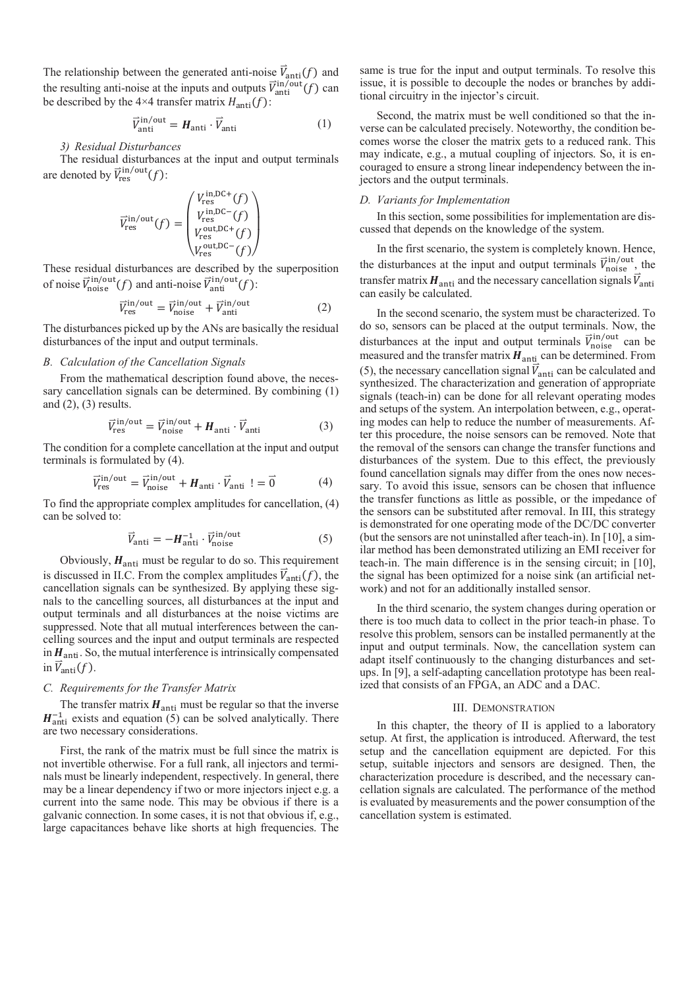The relationship between the generated anti-noise  $\vec{V}_{\text{anti}}(f)$  and the resulting anti-noise at the inputs and outputs  $\vec{V}_{\text{anti}}^{\text{in/out}}(f)$  can be described by the 4×4 transfer matrix  $H_{\text{anti}}(f)$ :

$$
\vec{V}_{\text{anti}}^{\text{in/out}} = \boldsymbol{H}_{\text{anti}} \cdot \vec{V}_{\text{anti}}
$$

 $(1)$ 

# *3) Residual Disturbances*

The residual disturbances at the input and output terminals are denoted by  $\vec{V}_{\text{res}}^{\text{in/out}}(f)$ :

$$
\overrightarrow{V}_{\text{res}}^{\text{in/out}}(f) = \begin{pmatrix} V_{\text{res}}^{\text{in,DC+}}(f) \\ V_{\text{res}}^{\text{in,DC-}}(f) \\ V_{\text{res}}^{\text{out,DC+}}(f) \\ V_{\text{res}}^{\text{out,DC-}}(f) \end{pmatrix}
$$

These residual disturbances are described by the superposition of noise  $\vec{V}_{noise}^{in/out}(f)$  and anti-noise  $\vec{V}_{anti}^{in/out}(f)$ :

$$
\vec{V}_{\text{res}}^{\text{in/out}} = \vec{V}_{\text{noise}}^{\text{in/out}} + \vec{V}_{\text{anti}}^{\text{in/out}} \tag{2}
$$

The disturbances picked up by the ANs are basically the residual disturbances of the input and output terminals.

#### *B. Calculation of the Cancellation Signals*

From the mathematical description found above, the necessary cancellation signals can be determined. By combining (1) and  $(2)$ ,  $(3)$  results.

$$
\vec{V}_{\text{res}}^{\text{in/out}} = \vec{V}_{\text{noise}}^{\text{in/out}} + \boldsymbol{H}_{\text{anti}} \cdot \vec{V}_{\text{anti}} \tag{3}
$$

The condition for a complete cancellation at the input and output terminals is formulated by (4).

$$
\vec{V}_{\text{res}}^{\text{in/out}} = \vec{V}_{\text{noise}}^{\text{in/out}} + \boldsymbol{H}_{\text{anti}} \cdot \vec{V}_{\text{anti}} \ \mathbf{I} = \vec{0} \tag{4}
$$

To find the appropriate complex amplitudes for cancellation, (4) can be solved to:

$$
\vec{V}_{\text{anti}} = -H_{\text{anti}}^{-1} \cdot \vec{V}_{\text{noise}}^{\text{in/out}} \tag{5}
$$

Obviously,  $H_{\text{anti}}$  must be regular to do so. This requirement is discussed in II.C. From the complex amplitudes  $\vec{V}_{\text{anti}}(f)$ , the cancellation signals can be synthesized. By applying these signals to the cancelling sources, all disturbances at the input and output terminals and all disturbances at the noise victims are suppressed. Note that all mutual interferences between the cancelling sources and the input and output terminals are respected in  $H_{\text{anti}}$ . So, the mutual interference is intrinsically compensated in  $\vec{V}_{\text{anti}}(f)$ .

# *C. Requirements for the Transfer Matrix*

The transfer matrix  $H_{\text{anti}}$  must be regular so that the inverse  $H<sub>anti</sub><sup>-1</sup>$  exists and equation (5) can be solved analytically. There are two necessary considerations.

First, the rank of the matrix must be full since the matrix is not invertible otherwise. For a full rank, all injectors and terminals must be linearly independent, respectively. In general, there may be a linear dependency if two or more injectors inject e.g. a current into the same node. This may be obvious if there is a galvanic connection. In some cases, it is not that obvious if, e.g., large capacitances behave like shorts at high frequencies. The

same is true for the input and output terminals. To resolve this issue, it is possible to decouple the nodes or branches by additional circuitry in the injector's circuit.

Second, the matrix must be well conditioned so that the inverse can be calculated precisely. Noteworthy, the condition becomes worse the closer the matrix gets to a reduced rank. This may indicate, e.g., a mutual coupling of injectors. So, it is encouraged to ensure a strong linear independency between the injectors and the output terminals.

# *D. Variants for Implementation*

In this section, some possibilities for implementation are discussed that depends on the knowledge of the system.

In the first scenario, the system is completely known. Hence, the disturbances at the input and output terminals  $\vec{V}_{noise}^{in/out}$ , the transfer matrix  $H_{\text{anti}}$  and the necessary cancellation signals  $\vec{V}_{\text{anti}}$ can easily be calculated.

In the second scenario, the system must be characterized. To do so, sensors can be placed at the output terminals. Now, the disturbances at the input and output terminals  $\vec{V}_{noise}^{in/out}$  can be measured and the transfer matrix  $H_{\text{anti}}$  can be determined. From (5), the necessary cancellation signal  $\vec{V}_{\text{anti}}$  can be calculated and synthesized. The characterization and generation of appropriate signals (teach-in) can be done for all relevant operating modes and setups of the system. An interpolation between, e.g., operating modes can help to reduce the number of measurements. After this procedure, the noise sensors can be removed. Note that the removal of the sensors can change the transfer functions and disturbances of the system. Due to this effect, the previously found cancellation signals may differ from the ones now necessary. To avoid this issue, sensors can be chosen that influence the transfer functions as little as possible, or the impedance of the sensors can be substituted after removal. In III, this strategy is demonstrated for one operating mode of the DC/DC converter (but the sensors are not uninstalled after teach-in). In [10], a similar method has been demonstrated utilizing an EMI receiver for teach-in. The main difference is in the sensing circuit; in [10], the signal has been optimized for a noise sink (an artificial network) and not for an additionally installed sensor.

In the third scenario, the system changes during operation or there is too much data to collect in the prior teach-in phase. To resolve this problem, sensors can be installed permanently at the input and output terminals. Now, the cancellation system can adapt itself continuously to the changing disturbances and setups. In [9], a self-adapting cancellation prototype has been realized that consists of an FPGA, an ADC and a DAC.

#### III. DEMONSTRATION

In this chapter, the theory of II is applied to a laboratory setup. At first, the application is introduced. Afterward, the test setup and the cancellation equipment are depicted. For this setup, suitable injectors and sensors are designed. Then, the characterization procedure is described, and the necessary cancellation signals are calculated. The performance of the method is evaluated by measurements and the power consumption of the cancellation system is estimated.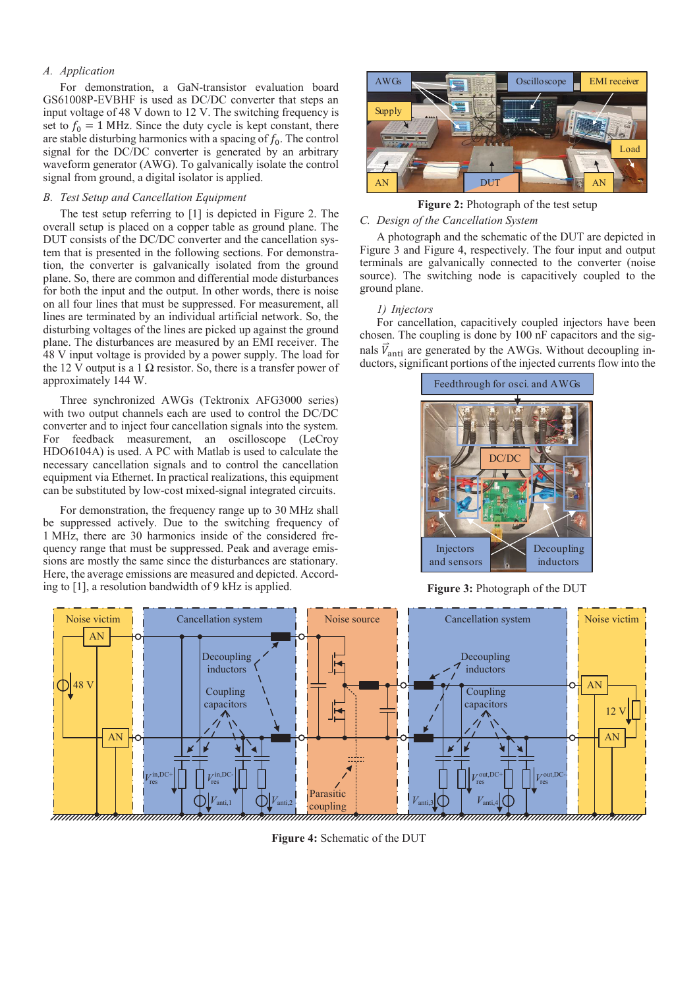# *A. Application*

For demonstration, a GaN-transistor evaluation board GS61008P-EVBHF is used as DC/DC converter that steps an input voltage of 48 V down to 12 V. The switching frequency is set to  $f_0 = 1$  MHz. Since the duty cycle is kept constant, there are stable disturbing harmonics with a spacing of  $f_0$ . The control signal for the DC/DC converter is generated by an arbitrary waveform generator (AWG). To galvanically isolate the control signal from ground, a digital isolator is applied.

# *B. Test Setup and Cancellation Equipment*

The test setup referring to [1] is depicted in Figure 2. The overall setup is placed on a copper table as ground plane. The DUT consists of the DC/DC converter and the cancellation system that is presented in the following sections. For demonstration, the converter is galvanically isolated from the ground plane. So, there are common and differential mode disturbances for both the input and the output. In other words, there is noise on all four lines that must be suppressed. For measurement, all lines are terminated by an individual artificial network. So, the disturbing voltages of the lines are picked up against the ground plane. The disturbances are measured by an EMI receiver. The 48 V input voltage is provided by a power supply. The load for the 12 V output is a 1 Ω resistor. So, there is a transfer power of approximately 144 W.

Three synchronized AWGs (Tektronix AFG3000 series) with two output channels each are used to control the DC/DC converter and to inject four cancellation signals into the system. For feedback measurement, an oscilloscope (LeCroy HDO6104A) is used. A PC with Matlab is used to calculate the necessary cancellation signals and to control the cancellation equipment via Ethernet. In practical realizations, this equipment can be substituted by low-cost mixed-signal integrated circuits.

For demonstration, the frequency range up to 30 MHz shall be suppressed actively. Due to the switching frequency of 1 MHz, there are 30 harmonics inside of the considered frequency range that must be suppressed. Peak and average emissions are mostly the same since the disturbances are stationary. Here, the average emissions are measured and depicted. According to [1], a resolution bandwidth of 9 kHz is applied.



*C. Design of the Cancellation System*  **Figure 2:** Photograph of the test setup

A photograph and the schematic of the DUT are depicted in Figure 3 and Figure 4, respectively. The four input and output terminals are galvanically connected to the converter (noise source). The switching node is capacitively coupled to the ground plane.

## *1) Injectors*

For cancellation, capacitively coupled injectors have been chosen. The coupling is done by 100 nF capacitors and the signals  $\vec{V}_{\text{anti}}$  are generated by the AWGs. Without decoupling inductors, significant portions of the injected currents flow into the



**Figure 3:** Photograph of the DUT



**Figure 4:** Schematic of the DUT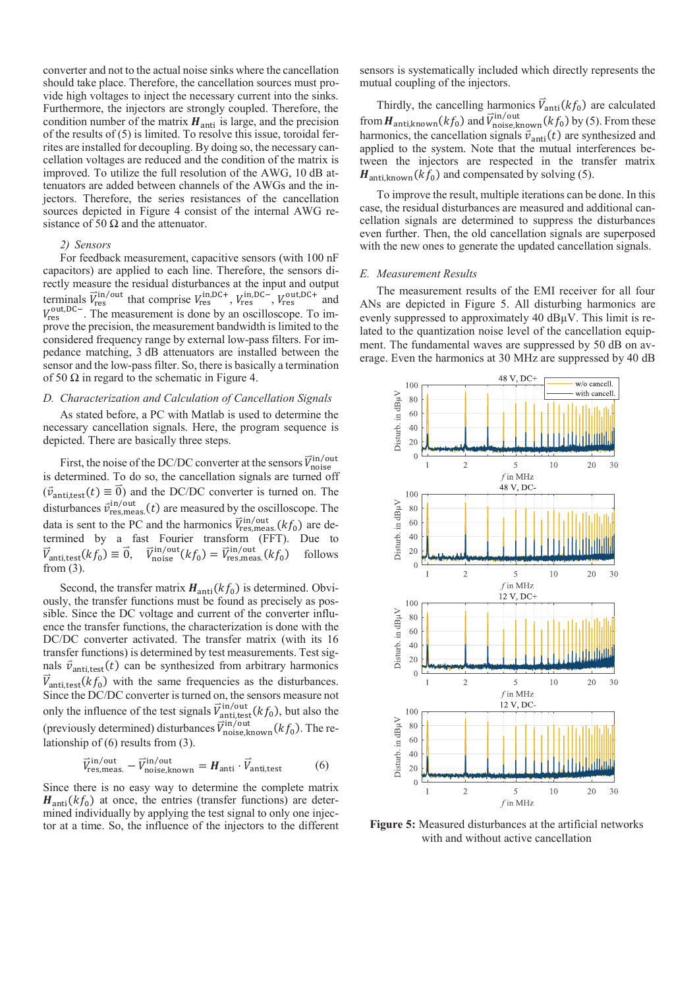converter and not to the actual noise sinks where the cancellation should take place. Therefore, the cancellation sources must provide high voltages to inject the necessary current into the sinks. Furthermore, the injectors are strongly coupled. Therefore, the condition number of the matrix  $H_{\text{anti}}$  is large, and the precision of the results of (5) is limited. To resolve this issue, toroidal ferrites are installed for decoupling. By doing so, the necessary cancellation voltages are reduced and the condition of the matrix is improved. To utilize the full resolution of the AWG, 10 dB attenuators are added between channels of the AWGs and the injectors. Therefore, the series resistances of the cancellation sources depicted in Figure 4 consist of the internal AWG resistance of 50  $\Omega$  and the attenuator.

### *2) Sensors*

For feedback measurement, capacitive sensors (with 100 nF capacitors) are applied to each line. Therefore, the sensors directly measure the residual disturbances at the input and output terminals  $\vec{V}_{res}^{in/out}$  that comprise  $V_{res}^{in,DC+}$ ,  $V_{res}^{in,DC-}$ ,  $V_{res}^{out,DC+}$  and  $V_{\text{res}}^{\text{out,DC}}$ . The measurement is done by an oscilloscope. To improve the precision, the measurement bandwidth is limited to the considered frequency range by external low-pass filters. For impedance matching, 3 dB attenuators are installed between the sensor and the low-pass filter. So, there is basically a termination of 50  $\Omega$  in regard to the schematic in Figure 4.

# *D. Characterization and Calculation of Cancellation Signals*

As stated before, a PC with Matlab is used to determine the necessary cancellation signals. Here, the program sequence is depicted. There are basically three steps.

First, the noise of the DC/DC converter at the sensors  $\vec{V}_{noise}^{in/out}$ is determined. To do so, the cancellation signals are turned off  $(\vec{v}_{\text{anti.test}}(t) \equiv \vec{0})$  and the DC/DC converter is turned on. The disturbances  $\vec{v}_{\text{res,meas.}}^{in/out}(t)$  are measured by the oscilloscope. The data is sent to the PC and the harmonics  $\vec{V}_{res,meas.}^{in/out}(kf_0)$  are determined by a fast Fourier transform (FFT). Due to  $\vec{V}_{\text{anti,test}}(kf_0) \equiv \vec{0}, \quad \vec{V}_{\text{in}}$  $\hat{v}_{\text{noise}}^{in/out}(kf_0) = \vec{V}_{\text{res,meas}}^{in/out}(kf_0)$  follows from (3).

Second, the transfer matrix  $H_{\text{anti}}(kf_0)$  is determined. Obviously, the transfer functions must be found as precisely as possible. Since the DC voltage and current of the converter influence the transfer functions, the characterization is done with the DC/DC converter activated. The transfer matrix (with its 16 transfer functions) is determined by test measurements. Test signals  $\vec{v}_{\text{anti.test}}(t)$  can be synthesized from arbitrary harmonics  $\vec{V}_{\text{anti,test}}(kf_0)$  with the same frequencies as the disturbances. Since the DC/DC converter is turned on, the sensors measure not only the influence of the test signals  $\vec{V}_{\text{anti,test}}^{in/out}(kf_0)$ , but also the (previously determined) disturbances  $\vec{V}_{noise, known}^{in/out}(kf_0)$ . The relationship of (6) results from (3).

$$
\vec{V}_{\text{res,meas.}}^{\text{in/out}} - \vec{V}_{\text{noise,known}}^{\text{in/out}} = H_{\text{anti}} \cdot \vec{V}_{\text{anti,test}} \tag{6}
$$

Since there is no easy way to determine the complete matrix  $H_{\text{anti}}(kf_0)$  at once, the entries (transfer functions) are determined individually by applying the test signal to only one injector at a time. So, the influence of the injectors to the different sensors is systematically included which directly represents the mutual coupling of the injectors.

Thirdly, the cancelling harmonics  $\vec{V}_{\text{anti}}(kf_0)$  are calculated from  $H_{\text{anti},\text{known}}(kf_0)$  and  $\vec{V}_{\text{noise},\text{known}}^{i} (kf_0)$  by (5). From these harmonics, the cancellation signals  $\vec{v}_{\text{anti}}(t)$  are synthesized and applied to the system. Note that the mutual interferences between the injectors are respected in the transfer matrix  $H_{\text{anti known}}(kf_0)$  and compensated by solving (5).

To improve the result, multiple iterations can be done. In this case, the residual disturbances are measured and additional cancellation signals are determined to suppress the disturbances even further. Then, the old cancellation signals are superposed with the new ones to generate the updated cancellation signals.

## *E. Measurement Results*

The measurement results of the EMI receiver for all four ANs are depicted in Figure 5. All disturbing harmonics are evenly suppressed to approximately 40 dBμV. This limit is related to the quantization noise level of the cancellation equipment. The fundamental waves are suppressed by 50 dB on average. Even the harmonics at 30 MHz are suppressed by 40 dB



**Figure 5:** Measured disturbances at the artificial networks with and without active cancellation